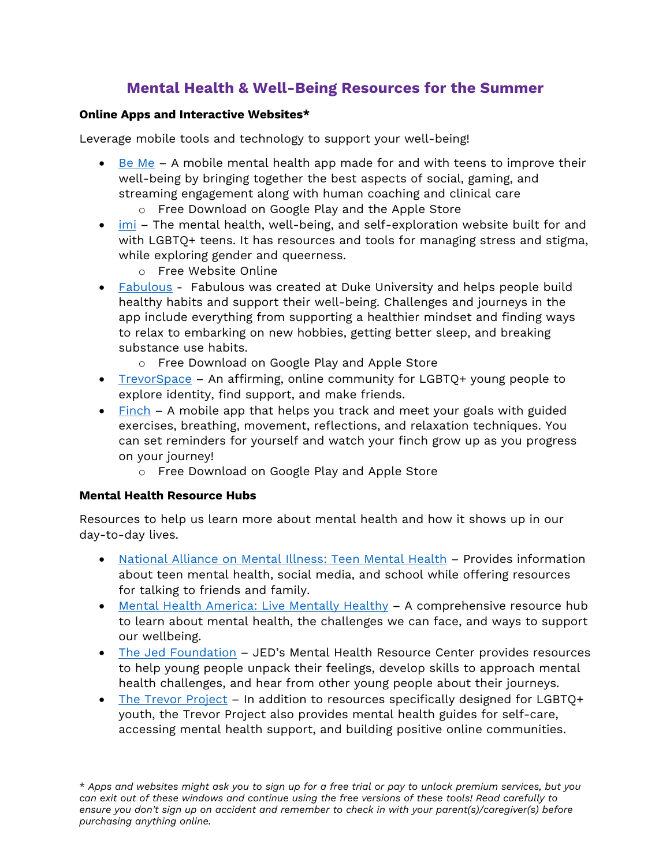## **Mental Health & Well-Being Resources for the Summer**

## **Online Apps and Interactive Websites\***

Leverage mobile tools and technology to support your well-being!

- Be Me A mobile mental health app made for and with teens to improve their well-being by bringing together the best aspects of social, gaming, and streaming engagement along with human coaching and clinical care
	- o Free Download on Google Play and the Apple Store
- imi The mental health, well-being, and self-exploration website built for and with LGBTQ+ teens. It has resources and tools for managing stress and stigma, while exploring gender and queerness.
	- o Free Website Online
- Fabulous Fabulous was created at Duke University and helps people build healthy habits and support their well-being. Challenges and journeys in the app include everything from supporting a healthier mindset and finding ways to relax to embarking on new hobbies, getting better sleep, and breaking substance use habits.
	- o Free Download on Google Play and Apple Store
- TrevorSpace An affirming, online community for LGBTQ+ young people to explore identity, find support, and make friends.
- Finch A mobile app that helps you track and meet your goals with guided exercises, breathing, movement, reflections, and relaxation techniques. You can set reminders for yourself and watch your finch grow up as you progress on your journey!
	- o Free Download on Google Play and Apple Store

## **Mental Health Resource Hubs**

Resources to help us learn more about mental health and how it shows up in our day-to-day lives.

- National Alliance on Mental Illness: Teen Mental Health Provides information about teen mental health, social media, and school while offering resources for talking to friends and family.
- Mental Health America: Live Mentally Healthy A comprehensive resource hub to learn about mental health, the challenges we can face, and ways to support our wellbeing.
- The Jed Foundation JED's Mental Health Resource Center provides resources to help young people unpack their feelings, develop skills to approach mental health challenges, and hear from other young people about their journeys.
- The Trevor Project In addition to resources specifically designed for LGBTQ+ youth, the Trevor Project also provides mental health guides for self-care, accessing mental health support, and building positive online communities.

\* *Apps and websites might ask you to sign up for a free trial or pay to unlock premium services, but you can exit out of these windows and continue using the free versions of these tools! Read carefully to ensure you don't sign up on accident and remember to check in with your parent(s)/caregiver(s) before purchasing anything online.*